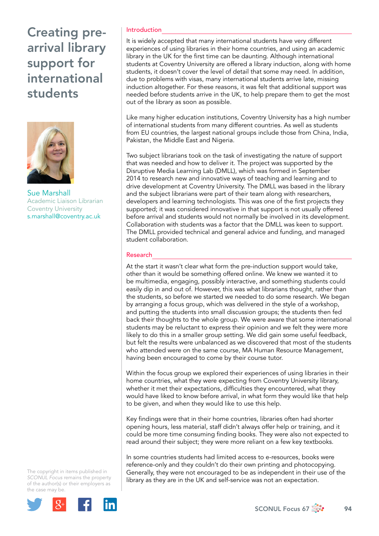# Creating prearrival library support for international students



Sue Marshall Academic Liaison Librarian Coventry University [s.marshall@coventry.ac.uk](mailto:s.marshall@coventry.ac.uk)

#### The copyright in items published in *SCONUL Focus* remains the property of the author(s) or their employers as the case may be.



### Introduction

It is widely accepted that many international students have very different experiences of using libraries in their home countries, and using an academic library in the UK for the first time can be daunting. Although international students at Coventry University are offered a library induction, along with home students, it doesn't cover the level of detail that some may need. In addition, due to problems with visas, many international students arrive late, missing induction altogether. For these reasons, it was felt that additional support was needed before students arrive in the UK, to help prepare them to get the most out of the library as soon as possible.

Like many higher education institutions, Coventry University has a high number of international students from many different countries. As well as students from EU countries, the largest national groups include those from China, India, Pakistan, the Middle East and Nigeria.

Two subject librarians took on the task of investigating the nature of support that was needed and how to deliver it. The project was supported by the Disruptive Media Learning Lab (DMLL), which was formed in September 2014 to research new and innovative ways of teaching and learning and to drive development at Coventry University. The DMLL was based in the library and the subject librarians were part of their team along with researchers, developers and learning technologists. This was one of the first projects they supported; it was considered innovative in that support is not usually offered before arrival and students would not normally be involved in its development. Collaboration with students was a factor that the DMLL was keen to support. The DMLL provided technical and general advice and funding, and managed student collaboration.

#### Research

At the start it wasn't clear what form the pre-induction support would take, other than it would be something offered online. We knew we wanted it to be multimedia, engaging, possibly interactive, and something students could easily dip in and out of. However, this was what librarians thought, rather than the students, so before we started we needed to do some research. We began by arranging a focus group, which was delivered in the style of a workshop, and putting the students into small discussion groups; the students then fed back their thoughts to the whole group. We were aware that some international students may be reluctant to express their opinion and we felt they were more likely to do this in a smaller group setting. We did gain some useful feedback, but felt the results were unbalanced as we discovered that most of the students who attended were on the same course, MA Human Resource Management, having been encouraged to come by their course tutor.

Within the focus group we explored their experiences of using libraries in their home countries, what they were expecting from Coventry University library, whether it met their expectations, difficulties they encountered, what they would have liked to know before arrival, in what form they would like that help to be given, and when they would like to use this help.

Key findings were that in their home countries, libraries often had shorter opening hours, less material, staff didn't always offer help or training, and it could be more time consuming finding books. They were also not expected to read around their subject; they were more reliant on a few key textbooks.

In some countries students had limited access to e-resources, books were reference-only and they couldn't do their own printing and photocopying. Generally, they were not encouraged to be as independent in their use of the library as they are in the UK and self-service was not an expectation.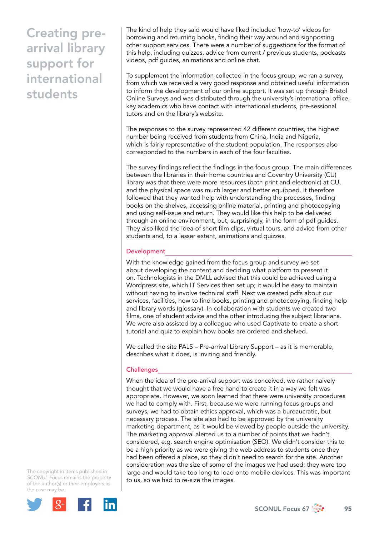# Creating prearrival library support for international students

The kind of help they said would have liked included 'how-to' videos for borrowing and returning books, finding their way around and signposting other support services. There were a number of suggestions for the format of this help, including quizzes, advice from current / previous students, podcasts videos, pdf guides, animations and online chat.

To supplement the information collected in the focus group, we ran a survey, from which we received a very good response and obtained useful information to inform the development of our online support. It was set up through Bristol Online Surveys and was distributed through the university's international office, key academics who have contact with international students, pre-sessional tutors and on the library's website.

The responses to the survey represented 42 different countries, the highest number being received from students from China, India and Nigeria, which is fairly representative of the student population. The responses also corresponded to the numbers in each of the four faculties.

The survey findings reflect the findings in the focus group. The main differences between the libraries in their home countries and Coventry University (CU) library was that there were more resources (both print and electronic) at CU, and the physical space was much larger and better equipped. It therefore followed that they wanted help with understanding the processes, finding books on the shelves, accessing online material, printing and photocopying and using self-issue and return. They would like this help to be delivered through an online environment, but, surprisingly, in the form of pdf guides. They also liked the idea of short film clips, virtual tours, and advice from other students and, to a lesser extent, animations and quizzes.

### **Development**

With the knowledge gained from the focus group and survey we set about developing the content and deciding what platform to present it on. Technologists in the DMLL advised that this could be achieved using a Wordpress site, which IT Services then set up; it would be easy to maintain without having to involve technical staff. Next we created pdfs about our services, facilities, how to find books, printing and photocopying, finding help and library words (glossary). In collaboration with students we created two films, one of student advice and the other introducing the subject librarians. We were also assisted by a colleague who used Captivate to create a short tutorial and quiz to explain how books are ordered and shelved.

We called the site PALS – Pre-arrival Library Support – as it is memorable, describes what it does, is inviting and friendly.

### Challenges

When the idea of the pre-arrival support was conceived, we rather naively thought that we would have a free hand to create it in a way we felt was appropriate. However, we soon learned that there were university procedures we had to comply with. First, because we were running focus groups and surveys, we had to obtain ethics approval, which was a bureaucratic, but necessary process. The site also had to be approved by the university marketing department, as it would be viewed by people outside the university. The marketing approval alerted us to a number of points that we hadn't considered, e.g. search engine optimisation (SEO). We didn't consider this to be a high priority as we were giving the web address to students once they had been offered a place, so they didn't need to search for the site. Another consideration was the size of some of the images we had used; they were too large and would take too long to load onto mobile devices. This was important to us, so we had to re-size the images.

The copyright in items published in *SCONUL Focus* remains the property of the author(s) or their employers as the case may be.